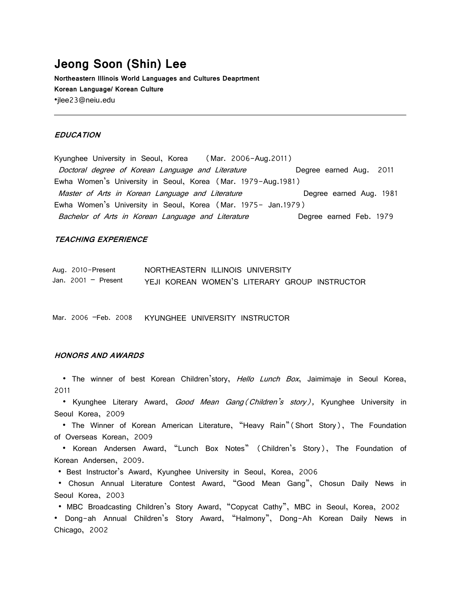# **Jeong Soon (Shin) Lee Northeastern Illinois World Languages and Cultures Deaprtment Korean Language/ Korean Culture**

·jlee23@neiu.edu

## **EDUCATION**

Kyunghee University in Seoul, Korea (Mar. 2006-Aug.2011) Doctoral degree of Korean Language and Literature **Degree earned Aug.** 2011 Ewha Women's University in Seoul, Korea (Mar. 1979-Aug.1981) Master of Arts in Korean Language and Literature **Degree earned Aug. 1981** Ewha Women's University in Seoul, Korea (Mar. 1975- Jan.1979) Bachelor of Arts in Korean Language and Literature Degree earned Feb. 1979

## **TEACHING EXPERIENCE**

| Aug. 2010-Present   | NORTHEASTERN ILLINOIS UNIVERSITY              |  |
|---------------------|-----------------------------------------------|--|
| Jan. 2001 - Present | YEJI KOREAN WOMEN'S LITERARY GROUP INSTRUCTOR |  |

Mar. 2006 –Feb. 2008 KYUNGHEE UNIVERSITY INSTRUCTOR

### **HONORS AND AWARDS**

• The winner of best Korean Children'story, *Hello Lunch Box*, Jaimimaje in Seoul Korea, 2011

• Kyunghee Literary Award, *Good Mean Gang (Children's story)*, Kyunghee University in Seoul Korea, 2009

 · The Winner of Korean American Literature, "Heavy Rain"(Short Story), The Foundation of Overseas Korean, 2009

 · Korean Andersen Award, "Lunch Box Notes" (Children's Story), The Foundation of Korean Andersen, 2009.

· Best Instructor's Award, Kyunghee University in Seoul, Korea, 2006

· Chosun Annual Literature Contest Award, "Good Mean Gang", Chosun Daily News in Seoul Korea, 2003

· MBC Broadcasting Children's Story Award, "Copycat Cathy", MBC in Seoul, Korea, 2002

· Dong-ah Annual Children's Story Award, "Halmony", Dong-Ah Korean Daily News in Chicago, 2002